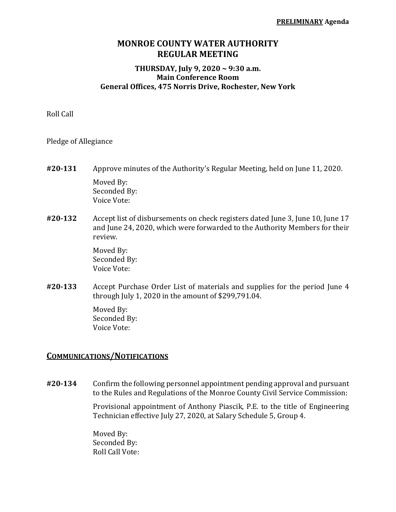## **MONROE COUNTY WATER AUTHORITY REGULAR MEETING**

## **THURSDAY, July 9, 2020 ~ 9:30 a.m. Main Conference Room General Offices, 475 Norris Drive, Rochester, New York**

Roll Call

Pledge of Allegiance

- **#20‐131** Approve minutes of the Authority's Regular Meeting, held on June 11, 2020. Moved By: Seconded By: Voice Vote:
- **#20‐132** Accept list of disbursements on check registers dated June 3, June 10, June 17 and June 24, 2020, which were forwarded to the Authority Members for their review.

 Moved By: Seconded By: Voice Vote:

**#20‐133** Accept Purchase Order List of materials and supplies for the period June 4 through July 1, 2020 in the amount of \$299,791.04.

> Moved By: Seconded By: Voice Vote:

## **COMMUNICATIONS/NOTIFICATIONS**

**#20‐134** Confirm the following personnel appointment pending approval and pursuant to the Rules and Regulations of the Monroe County Civil Service Commission:

> Provisional appointment of Anthony Piascik, P.E. to the title of Engineering Technician effective July 27, 2020, at Salary Schedule 5, Group 4.

 Moved By: Seconded By: Roll Call Vote: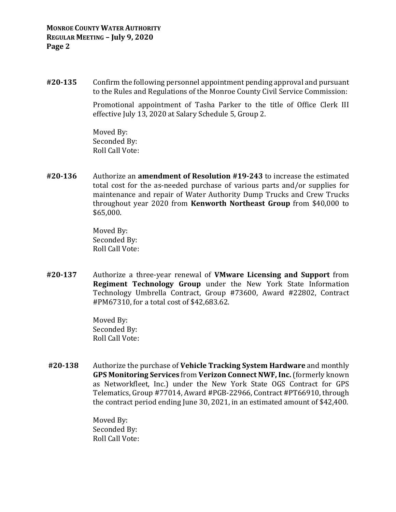**#20‐135** Confirm the following personnel appointment pending approval and pursuant to the Rules and Regulations of the Monroe County Civil Service Commission:

> Promotional appointment of Tasha Parker to the title of Office Clerk III effective July 13, 2020 at Salary Schedule 5, Group 2.

 Moved By: Seconded By: Roll Call Vote:

**#20‐136** Authorize an **amendment of Resolution #19‐243** to increase the estimated total cost for the as-needed purchase of various parts and/or supplies for maintenance and repair of Water Authority Dump Trucks and Crew Trucks throughout year 2020 from **Kenworth Northeast Group** from \$40,000 to \$65,000.

> Moved By: Seconded By: Roll Call Vote:

**#20‐137** Authorize a three-year renewal of **VMware Licensing and Support** from **Regiment Technology Group** under the New York State Information Technology Umbrella Contract, Group #73600, Award #22802, Contract #PM67310, for a total cost of \$42,683.62.

> Moved By: Seconded By: Roll Call Vote:

**#20‐138** Authorize the purchase of **Vehicle Tracking System Hardware** and monthly **GPS Monitoring Services** from **Verizon Connect NWF, Inc.** (formerly known as Networkfleet, Inc.) under the New York State OGS Contract for GPS Telematics, Group #77014, Award #PGB-22966, Contract #PT66910, through the contract period ending June 30, 2021, in an estimated amount of \$42,400.

> Moved By: Seconded By: Roll Call Vote: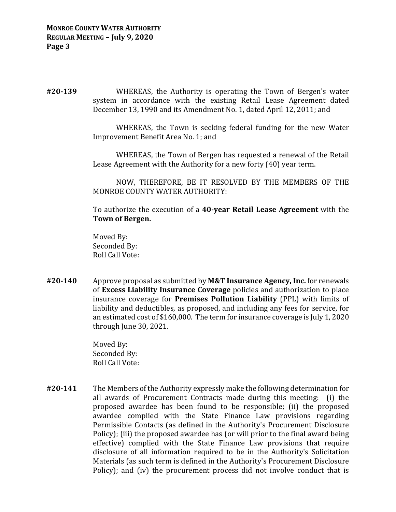**#20‐139**  WHEREAS, the Authority is operating the Town of Bergen's water system in accordance with the existing Retail Lease Agreement dated December 13, 1990 and its Amendment No. 1, dated April 12, 2011; and

> WHEREAS, the Town is seeking federal funding for the new Water Improvement Benefit Area No. 1; and

> WHEREAS, the Town of Bergen has requested a renewal of the Retail Lease Agreement with the Authority for a new forty (40) year term.

> NOW, THEREFORE, BE IT RESOLVED BY THE MEMBERS OF THE MONROE COUNTY WATER AUTHORITY:

> To authorize the execution of a **40‐year Retail Lease Agreement** with the **Town of Bergen.**

 Moved By: Seconded By: Roll Call Vote:

**#20‐140** Approve proposal as submitted by **M&T Insurance Agency, Inc.** for renewals of **Excess Liability Insurance Coverage** policies and authorization to place insurance coverage for **Premises Pollution Liability** (PPL) with limits of liability and deductibles, as proposed, and including any fees for service, for an estimated cost of \$160,000. The term for insurance coverage is July 1, 2020 through June 30, 2021.

> Moved By: Seconded By: Roll Call Vote:

**#20‐141** The Members of the Authority expressly make the following determination for all awards of Procurement Contracts made during this meeting: (i) the proposed awardee has been found to be responsible; (ii) the proposed awardee complied with the State Finance Law provisions regarding Permissible Contacts (as defined in the Authority's Procurement Disclosure Policy); (iii) the proposed awardee has (or will prior to the final award being effective) complied with the State Finance Law provisions that require disclosure of all information required to be in the Authority's Solicitation Materials (as such term is defined in the Authority's Procurement Disclosure Policy); and (iv) the procurement process did not involve conduct that is